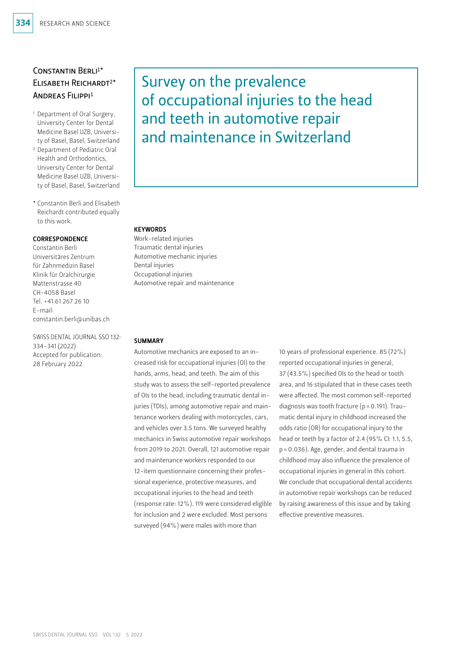# CONSTANTIN BERLI<sup>1\*</sup> Elisabeth Reichardt2\* Andreas Filippi1

- 1 Department of Oral Surgery, University Center for Dental Medicine Basel UZB, University of Basel, Basel, Switzerland
- 2 Department of Pediatric Oral Health and Orthodontics, University Center for Dental Medicine Basel UZB, University of Basel, Basel, Switzerland
- \* Constantin Berli and Elisabeth Reichardt contributed equally to this work.

#### CORRESPONDENCE

Constantin Berli Universitäres Zentrum für Zahnmedizin Basel Klinik für Oralchirurgie Mattenstrasse 40 CH-4058 Basel Tel. +41 61 267 26 10 E-mail: constantin.berli@unibas.ch

SWISS DENTAL JOURNAL SSO 132: 334–341 (2022) Accepted for publication: 28 February 2022

# Survey on the prevalence of occupational injuries to the head and teeth in automotive repair and maintenance in Switzerland

#### **KEYWORDS**

Work-related injuries Traumatic dental injuries Automotive mechanic injuries Dental injuries Occupational injuries Automotive repair and maintenance

#### **SUMMARY**

Automotive mechanics are exposed to an increased risk for occupational injuries (OI) to the hands, arms, head, and teeth. The aim of this study was to assess the self-reported prevalence of OIs to the head, including traumatic dental injuries (TDIs), among automotive repair and maintenance workers dealing with motorcycles, cars, and vehicles over 3.5 tons. We surveyed healthy mechanics in Swiss automotive repair workshops from 2019 to 2021. Overall, 121 automotive repair and maintenance workers responded to our 12-item questionnaire concerning their professional experience, protective measures, and occupational injuries to the head and teeth (response rate: 12%). 119 were considered eligible for inclusion and 2 were excluded. Most persons surveyed (94%) were males with more than

10 years of professional experience. 85 (72%) reported occupational injuries in general, 37 (43.5%) specified OIs to the head or tooth area, and 16 stipulated that in these cases teeth were affected. The most common self-reported diagnosis was tooth fracture ( $p = 0.191$ ). Traumatic dental injury in childhood increased the odds ratio (OR) for occupational injury to the head or teeth by a factor of 2.4 (95% CI: 1.1, 5.5, p=0.036). Age, gender, and dental trauma in childhood may also influence the prevalence of occupational injuries in general in this cohort. We conclude that occupational dental accidents in automotive repair workshops can be reduced by raising awareness of this issue and by taking effective preventive measures.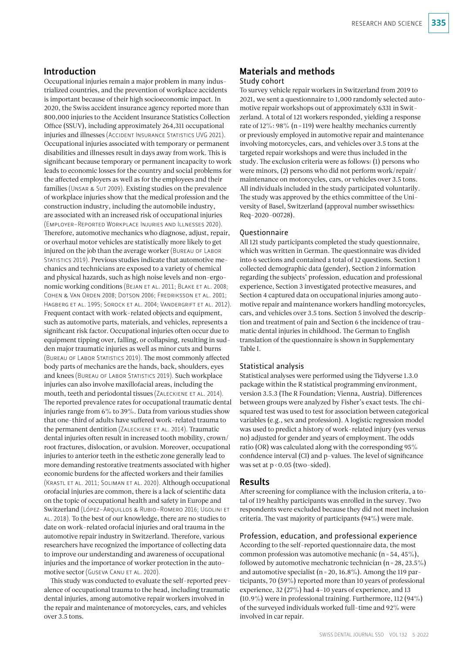## Introduction

Occupational injuries remain a major problem in many industrialized countries, and the prevention of workplace accidents is important because of their high socioeconomic impact. In 2020, the Swiss accident insurance agency reported more than 800,000 injuries to the Accident Insurance Statistics Collection Office (SSUV), including approximately 264,311 occupational injuries and illnesses (Accident Insurance Statistics UVG 2021). Occupational injuries associated with temporary or permanent disabilities and illnesses result in days away from work. This is significant because temporary or permanent incapacity to work leads to economic losses for the country and social problems for the affected employers as well as for the employees and their families (Unsar & Sut 2009). Existing studies on the prevalence of workplace injuries show that the medical profession and the construction industry, including the automobile industry, are associated with an increased risk of occupational injuries (Employer-Reported Workplace Injuries and Illnesses 2020). Therefore, automotive mechanics who diagnose, adjust, repair, or overhaul motor vehicles are statistically more likely to get injured on the job than the average worker (BUREAU OF LABOR STATISTICS 2019). Previous studies indicate that automotive mechanics and technicians are exposed to a variety of chemical and physical hazards, such as high noise levels and non-ergonomic working conditions (BEJAN ET AL. 2011; BLAKE ET AL. 2008; Cohen & Van Orden 2008; Dotson 2006; Fredriksson et al. 2001; Hagberg et al. 1995; Sorock et al. 2004; Vandergrift et al. 2012). Frequent contact with work-related objects and equipment, such as automotive parts, materials, and vehicles, represents a significant risk factor. Occupational injuries often occur due to equipment tipping over, falling, or collapsing, resulting in sudden major traumatic injuries as well as minor cuts and burns (Bureau of Labor Statistics 2019). The most commonly affected body parts of mechanics are the hands, back, shoulders, eyes and knees (Bureau of Labor Statistics 2019). Such workplace injuries can also involve maxillofacial areas, including the mouth, teeth and periodontal tissues (ZALECKIENE ET AL. 2014). The reported prevalence rates for occupational traumatic dental injuries range from 6% to 39%. Data from various studies show that one-third of adults have suffered work-related trauma to the permanent dentition (Zaleckiene et al. 2014). Traumatic dental injuries often result in increased tooth mobility, crown/ root fractures, dislocation, or avulsion. Moreover, occupational injuries to anterior teeth in the esthetic zone generally lead to more demanding restorative treatments associated with higher economic burdens for the affected workers and their families (Krastl et al. 2011; Soliman et al. 2020). Although occupational orofacial injuries are common, there is a lack of scientific data on the topic of occupational health and safety in Europe and Switzerland (López-Arquillos & Rubio-Romero 2016; Ugolini et al. 2018). To the best of our knowledge, there are no studies to date on work-related orofacial injuries and oral trauma in the automotive repair industry in Switzerland. Therefore, various researchers have recognized the importance of collecting data to improve our understanding and awareness of occupational injuries and the importance of worker protection in the automotive sector (GUSEVA CANU ET AL. 2020).

This study was conducted to evaluate the self-reported prevalence of occupational trauma to the head, including traumatic dental injuries, among automotive repair workers involved in the repair and maintenance of motorcycles, cars, and vehicles over 3.5 tons.

### Materials and methods Study cohort

To survey vehicle repair workers in Switzerland from 2019 to 2021, we sent a questionnaire to 1,000 randomly selected automotive repair workshops out of approximately 6331 in Switzerland. A total of 121 workers responded, yielding a response rate of  $12\%$ :  $98\%$  (n=119) were healthy mechanics currently or previously employed in automotive repair and maintenance involving motorcycles, cars, and vehicles over 3.5 tons at the targeted repair workshops and were thus included in the study. The exclusion criteria were as follows: (1) persons who were minors, (2) persons who did not perform work/repair/ maintenance on motorcycles, cars, or vehicles over 3.5 tons. All individuals included in the study participated voluntarily. The study was approved by the ethics committee of the University of Basel, Switzerland (approval number swissethics: Req-2020-00728).

#### Questionnaire

All 121 study participants completed the study questionnaire, which was written in German. The questionnaire was divided into 6 sections and contained a total of 12 questions. Section 1 collected demographic data (gender), Section 2 information regarding the subjects' profession, education and professional experience, Section 3 investigated protective measures, and Section 4 captured data on occupational injuries among automotive repair and maintenance workers handling motorcycles, cars, and vehicles over 3.5 tons. Section 5 involved the description and treatment of pain and Section 6 the incidence of traumatic dental injuries in childhood. The German to English translation of the questionnaire is shown in Supplementary Table I.

#### Statistical analysis

Statistical analyses were performed using the Tidyverse 1.3.0 package within the R statistical programming environment, version 3.5.3 (The R Foundation; Vienna, Austria). Differences between groups were analyzed by Fisher's exact tests. The chisquared test was used to test for association between categorical variables (e.g., sex and profession). A logistic regression model was used to predict a history of work-related injury (yes versus no) adjusted for gender and years of employment. The odds ratio (OR) was calculated along with the corresponding 95% confidence interval (CI) and p-values. The level of significance was set at  $p < 0.05$  (two-sided).

#### Results

After screening for compliance with the inclusion criteria, a total of 119 healthy participants was enrolled in the survey. Two respondents were excluded because they did not meet inclusion criteria. The vast majority of participants (94%) were male.

# Profession, education, and professional experience

According to the self-reported questionnaire data, the most common profession was automotive mechanic (n=54, 45%), followed by automotive mechatronic technician ( $n = 28, 23.5\%$ ) and automotive specialist ( $n = 20$ , 16.8%). Among the 119 participants, 70 (59%) reported more than 10 years of professional experience, 32 (27%) had 4–10 years of experience, and 13 (10.9%) were in professional training. Furthermore, 112 (94%) of the surveyed individuals worked full-time and 92% were involved in car repair.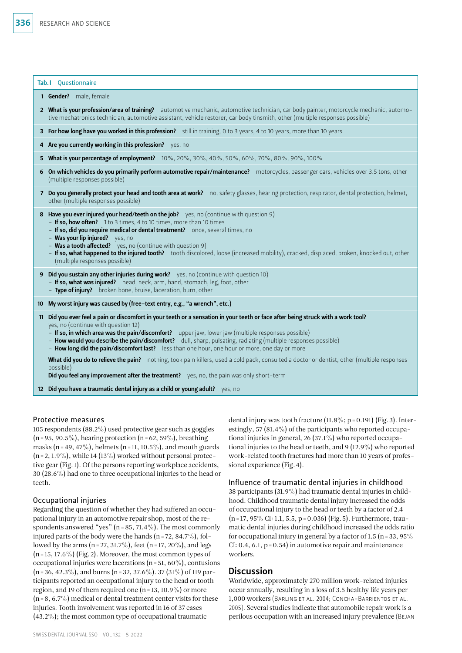|    | Tab. I Questionnaire                                                                                                                                                                                                                                                                                                                                                                                                                                                                                                                                                                                                                                                                                                                                                                  |
|----|---------------------------------------------------------------------------------------------------------------------------------------------------------------------------------------------------------------------------------------------------------------------------------------------------------------------------------------------------------------------------------------------------------------------------------------------------------------------------------------------------------------------------------------------------------------------------------------------------------------------------------------------------------------------------------------------------------------------------------------------------------------------------------------|
|    | 1 Gender? male, female                                                                                                                                                                                                                                                                                                                                                                                                                                                                                                                                                                                                                                                                                                                                                                |
|    | 2 What is your profession/area of training? automotive mechanic, automotive technician, car body painter, motorcycle mechanic, automo-<br>tive mechatronics technician, automotive assistant, vehicle restorer, car body tinsmith, other (multiple responses possible)                                                                                                                                                                                                                                                                                                                                                                                                                                                                                                                |
|    | 3 For how long have you worked in this profession? still in training, 0 to 3 years, 4 to 10 years, more than 10 years                                                                                                                                                                                                                                                                                                                                                                                                                                                                                                                                                                                                                                                                 |
|    | 4 Are you currently working in this profession? yes, no                                                                                                                                                                                                                                                                                                                                                                                                                                                                                                                                                                                                                                                                                                                               |
|    | 5 What is your percentage of employment? 10%, 20%, 30%, 40%, 50%, 60%, 70%, 80%, 90%, 100%                                                                                                                                                                                                                                                                                                                                                                                                                                                                                                                                                                                                                                                                                            |
|    | 6 On which vehicles do you primarily perform automotive repair/maintenance? motorcycles, passenger cars, vehicles over 3.5 tons, other<br>(multiple responses possible)                                                                                                                                                                                                                                                                                                                                                                                                                                                                                                                                                                                                               |
|    | 7 Do you generally protect your head and tooth area at work? no, safety glasses, hearing protection, respirator, dental protection, helmet,<br>other (multiple responses possible)                                                                                                                                                                                                                                                                                                                                                                                                                                                                                                                                                                                                    |
|    | 8 Have you ever injured your head/teeth on the job? yes, no (continue with question 9)<br>- If so, how often? 1 to 3 times, 4 to 10 times, more than 10 times<br>- If so, did you require medical or dental treatment? once, several times, no<br>- Was your lip injured? yes, no<br>- Was a tooth affected? yes, no (continue with question 9)<br>- If so, what happened to the injured tooth? tooth discolored, loose (increased mobility), cracked, displaced, broken, knocked out, other<br>(multiple responses possible)                                                                                                                                                                                                                                                         |
|    | 9 Did you sustain any other injuries during work? yes, no (continue with question 10)<br>- If so, what was injured? head, neck, arm, hand, stomach, leg, foot, other<br>- Type of injury? broken bone, bruise, laceration, burn, other                                                                                                                                                                                                                                                                                                                                                                                                                                                                                                                                                |
|    | 10 My worst injury was caused by (free-text entry, e.g., "a wrench", etc.)                                                                                                                                                                                                                                                                                                                                                                                                                                                                                                                                                                                                                                                                                                            |
| 11 | Did you ever feel a pain or discomfort in your teeth or a sensation in your teeth or face after being struck with a work tool?<br>yes, no (continue with question 12)<br>- If so, in which area was the pain/discomfort? upper jaw, lower jaw (multiple responses possible)<br>- How would you describe the pain/discomfort? dull, sharp, pulsating, radiating (multiple responses possible)<br>- How long did the pain/discomfort last? less than one hour, one hour or more, one day or more<br>What did you do to relieve the pain? nothing, took pain killers, used a cold pack, consulted a doctor or dentist, other (multiple responses<br>possible)<br>$\mathbf{D}_{\mathbf{Q}}^{\mathbf{L}}$ we feel any improvement ofter the treatment) we get the pain was only short term |

Did you feel any improvement after the treatment? yes, no, the pain was only short-term

12 Did you have a traumatic dental injury as a child or young adult? yes, no

## Protective measures

105 respondents (88.2%) used protective gear such as goggles  $(n=95, 90.5\%)$ , hearing protection  $(n=62, 59\%)$ , breathing masks (n = 49, 47%), helmets (n = 11, 10.5%), and mouth guards  $(n=2, 1.9\%)$ , while 14 (13%) worked without personal protective gear (Fig.1). Of the persons reporting workplace accidents, 30 (28.6%) had one to three occupational injuries to the head or teeth.

## Occupational injuries

Regarding the question of whether they had suffered an occupational injury in an automotive repair shop, most of the respondents answered "yes" ( $n = 85, 71.4\%$ ). The most commonly injured parts of the body were the hands  $(n=72, 84.7\%)$ , followed by the arms (n = 27, 31.7%), feet (n = 17, 20%), and legs  $(n=15, 17.6\%)$  (Fig. 2). Moreover, the most common types of occupational injuries were lacerations ( $n = 51, 60\%$ ), contusions  $(n=36, 42.3\%)$ , and burns  $(n=32, 37.6\%)$ . 37 (31%) of 119 participants reported an occupational injury to the head or tooth region, and 19 of them required one  $(n=13, 10.9\%)$  or more  $(n=8, 6.7\%)$  medical or dental treatment center visits for these injuries. Tooth involvement was reported in 16 of 37 cases (43.2%); the most common type of occupational traumatic

dental injury was tooth fracture  $(11.8\%; p = 0.191)$  (Fig. 3). Interestingly, 57 (81.4%) of the participants who reported occupational injuries in general, 26 (37.1%) who reported occupational injuries to the head or teeth, and 9 (12.9%) who reported work-related tooth fractures had more than 10 years of professional experience (Fig.4).

Influence of traumatic dental injuries in childhood 38 participants (31.9%) had traumatic dental injuries in childhood. Childhood traumatic dental injury increased the odds of occupational injury to the head or teeth by a factor of 2.4 (n=17, 95% CI: 1.1, 5.5, p=0.036) (Fig.5). Furthermore, traumatic dental injuries during childhood increased the odds ratio for occupational injury in general by a factor of 1.5 ( $n = 33, 95\%$ )  $CI: 0.4, 6.1, p = 0.54$  in automotive repair and maintenance workers.

# **Discussion**

Worldwide, approximately 270 million work-related injuries occur annually, resulting in a loss of 3.5 healthy life years per 1,000 workers (Barling et al. 2004; Concha-Barrientos et al. 2005). Several studies indicate that automobile repair work is a perilous occupation with an increased injury prevalence (Bejan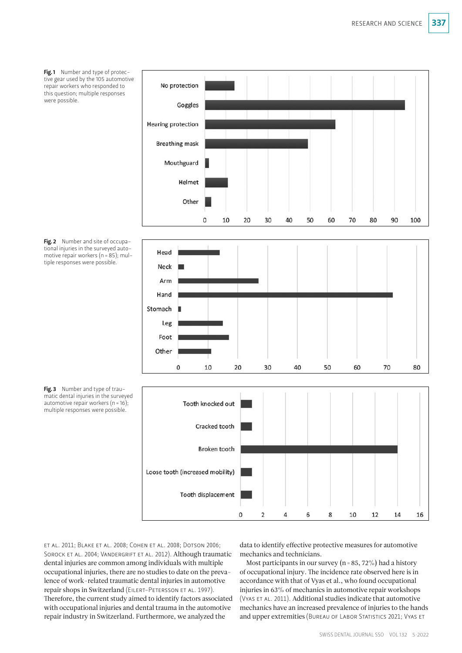Fig.1 Number and type of protective gear used by the 105 automotive repair workers who responded to this question; multiple responses were possible.









Fig. 3 Number and type of traumatic dental injuries in the surveyed automotive repair workers ( $n=16$ ); multiple responses were possible.

et al. 2011; Blake et al. 2008; Cohen et al. 2008; Dotson 2006; SOROCK ET AL. 2004; VANDERGRIFT ET AL. 2012). Although traumatic dental injuries are common among individuals with multiple occupational injuries, there are no studies to date on the prevalence of work-related traumatic dental injuries in automotive repair shops in Switzerland (Eilert-Petersson et al. 1997). Therefore, the current study aimed to identify factors associated with occupational injuries and dental trauma in the automotive repair industry in Switzerland. Furthermore, we analyzed the

data to identify effective protective measures for automotive mechanics and technicians.

Most participants in our survey ( $n=85, 72\%$ ) had a history of occupational injury. The incidence rate observed here is in accordance with that of Vyas et al., who found occupational injuries in 63% of mechanics in automotive repair workshops (VYAS ET AL. 2011). Additional studies indicate that automotive mechanics have an increased prevalence of injuries to the hands and upper extremities (BUREAU OF LABOR STATISTICS 2021; VYAS ET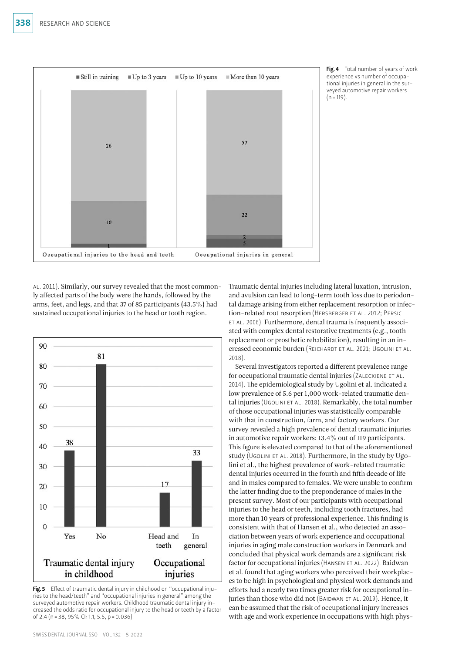

Fig. 4 Total number of years of work experience vs number of occupational injuries in general in the surveyed automotive repair workers  $(n = 119)$ .

AL. 2011). Similarly, our survey revealed that the most commonly affected parts of the body were the hands, followed by the arms, feet, and legs, and that 37 of 85 participants (43.5%) had sustained occupational injuries to the head or tooth region.



Fig. 5 Effect of traumatic dental injury in childhood on "occupational injuries to the head/teeth" and "occupational injuries in general" among the surveyed automotive repair workers. Childhood traumatic dental injury increased the odds ratio for occupational injury to the head or teeth by a factor of 2.4 (n = 38, 95% CI: 1.1, 5.5, p = 0.036).

Traumatic dental injuries including lateral luxation, intrusion, and avulsion can lead to long-term tooth loss due to periodontal damage arising from either replacement resorption or infection-related root resorption (Hersberger et al. 2012; Persic et al. 2006). Furthermore, dental trauma is frequently associated with complex dental restorative treatments (e.g., tooth replacement or prosthetic rehabilitation), resulting in an increased economic burden (Reichardt et al. 2021; Ugolini et al. 2018).

Several investigators reported a different prevalence range for occupational traumatic dental injuries (Zaleckiene et al. 2014). The epidemiological study by Ugolini et al. indicated a low prevalence of 5.6 per 1,000 work-related traumatic dental injuries (UGOLINI ET AL. 2018). Remarkably, the total number of those occupational injuries was statistically comparable with that in construction, farm, and factory workers. Our survey revealed a high prevalence of dental traumatic injuries in automotive repair workers: 13.4% out of 119 participants. This figure is elevated compared to that of the aforementioned study (UGOLINI ET AL. 2018). Furthermore, in the study by Ugolini et al., the highest prevalence of work-related traumatic dental injuries occurred in the fourth and fifth decade of life and in males compared to females. We were unable to confirm the latter finding due to the preponderance of males in the present survey. Most of our participants with occupational injuries to the head or teeth, including tooth fractures, had more than 10 years of professional experience. This finding is consistent with that of Hansen et al., who detected an association between years of work experience and occupational injuries in aging male construction workers in Denmark and concluded that physical work demands are a significant risk factor for occupational injuries (HANSEN ET AL. 2022). Baidwan et al. found that aging workers who perceived their workplaces to be high in psychological and physical work demands and efforts had a nearly two times greater risk for occupational injuries than those who did not (BAIDWAN ET AL. 2019). Hence, it can be assumed that the risk of occupational injury increases with age and work experience in occupations with high phys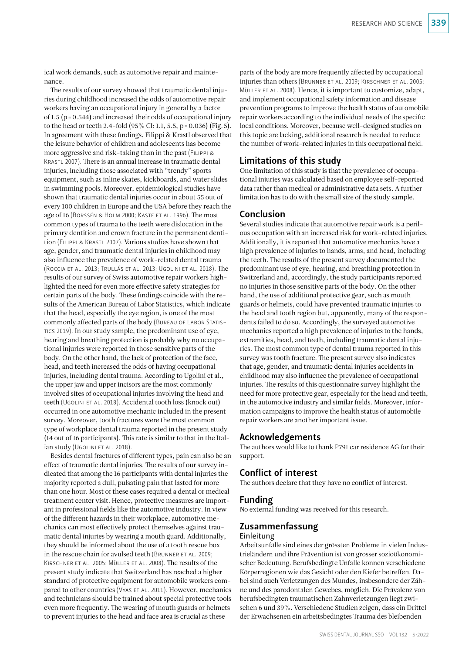ical work demands, such as automotive repair and maintenance.

The results of our survey showed that traumatic dental injuries during childhood increased the odds of automotive repair workers having an occupational injury in general by a factor of 1.5 ( $p = 0.544$ ) and increased their odds of occupational injury to the head or teeth 2.4-fold  $(95\%$  CI: 1.1, 5.5, p = 0.036) (Fig. 5). In agreement with these findings, Filippi & Krastl observed that the leisure behavior of children and adolescents has become more aggressive and risk-taking than in the past (Filippi & KRASTL 2007). There is an annual increase in traumatic dental injuries, including those associated with "trendy" sports equipment, such as inline skates, kickboards, and water slides in swimming pools. Moreover, epidemiological studies have shown that traumatic dental injuries occur in about 55 out of every 100 children in Europe and the USA before they reach the age of 16 (Borssén & Holm 2000; Kaste et al. 1996). The most common types of trauma to the teeth were dislocation in the primary dentition and crown fracture in the permanent dentition (Filippi & Krastl 2007). Various studies have shown that age, gender, and traumatic dental injuries in childhood may also influence the prevalence of work-related dental trauma (Roccia et al. 2013; Trullás et al. 2013; Ugolini et al. 2018). The results of our survey of Swiss automotive repair workers highlighted the need for even more effective safety strategies for certain parts of the body. These findings coincide with the results of the American Bureau of Labor Statistics, which indicate that the head, especially the eye region, is one of the most commonly affected parts of the body (BUREAU OF LABOR STATIStics 2019). In our study sample, the predominant use of eye, hearing and breathing protection is probably why no occupational injuries were reported in those sensitive parts of the body. On the other hand, the lack of protection of the face, head, and teeth increased the odds of having occupational injuries, including dental trauma. According to Ugolini et al., the upper jaw and upper incisors are the most commonly involved sites of occupational injuries involving the head and teeth (Ugolini et al. 2018). Accidental tooth loss (knock out) occurred in one automotive mechanic included in the present survey. Moreover, tooth fractures were the most common type of workplace dental trauma reported in the present study (14 out of 16 participants). This rate is similar to that in the Italian study (UGOLINI ET AL. 2018).

Besides dental fractures of different types, pain can also be an effect of traumatic dental injuries. The results of our survey indicated that among the 16 participants with dental injuries the majority reported a dull, pulsating pain that lasted for more than one hour. Most of these cases required a dental or medical treatment center visit. Hence, protective measures are important in professional fields like the automotive industry. In view of the different hazards in their workplace, automotive mechanics can most effectively protect themselves against traumatic dental injuries by wearing a mouth guard. Additionally, they should be informed about the use of a tooth rescue box in the rescue chain for avulsed teeth (BRUNNER ET AL. 2009; Kirschner et al. 2005; Müller et al. 2008). The results of the present study indicate that Switzerland has reached a higher standard of protective equipment for automobile workers compared to other countries (Vyas ET AL. 2011). However, mechanics and technicians should be trained about special protective tools even more frequently. The wearing of mouth guards or helmets to prevent injuries to the head and face area is crucial as these

parts of the body are more frequently affected by occupational injuries than others (Brunner et al. 2009; Kirschner et al. 2005; Müller et al. 2008). Hence, it is important to customize, adapt, and implement occupational safety information and disease prevention programs to improve the health status of automobile repair workers according to the individual needs of the specific local conditions. Moreover, because well-designed studies on this topic are lacking, additional research is needed to reduce the number of work-related injuries in this occupational field.

## Limitations of this study

One limitation of this study is that the prevalence of occupational injuries was calculated based on employee self-reported data rather than medical or administrative data sets. A further limitation has to do with the small size of the study sample.

## Conclusion

Several studies indicate that automotive repair work is a perilous occupation with an increased risk for work-related injuries. Additionally, it is reported that automotive mechanics have a high prevalence of injuries to hands, arms, and head, including the teeth. The results of the present survey documented the predominant use of eye, hearing, and breathing protection in Switzerland and, accordingly, the study participants reported no injuries in those sensitive parts of the body. On the other hand, the use of additional protective gear, such as mouth guards or helmets, could have prevented traumatic injuries to the head and tooth region but, apparently, many of the respondents failed to do so. Accordingly, the surveyed automotive mechanics reported a high prevalence of injuries to the hands, extremities, head, and teeth, including traumatic dental injuries. The most common type of dental trauma reported in this survey was tooth fracture. The present survey also indicates that age, gender, and traumatic dental injuries accidents in childhood may also influence the prevalence of occupational injuries. The results of this questionnaire survey highlight the need for more protective gear, especially for the head and teeth, in the automotive industry and similar fields. Moreover, information campaigns to improve the health status of automobile repair workers are another important issue.

#### Acknowledgements

The authors would like to thank P791 car residence AG for their support.

## Conflict of interest

The authors declare that they have no conflict of interest.

#### Funding

No external funding was received for this research.

#### Zusammenfassung

#### Einleitung

Arbeitsunfälle sind eines der grössten Probleme in vielen Industrieländern und ihre Prävention ist von grosser sozioökonomischer Bedeutung. Berufsbedingte Unfälle können verschiedene Körperregionen wie das Gesicht oder den Kiefer betreffen. Dabei sind auch Verletzungen des Mundes, insbesondere der Zähne und des parodontalen Gewebes, möglich. Die Prävalenz von berufsbedingten traumatischen Zahnverletzungen liegt zwischen 6 und 39%. Verschiedene Studien zeigen, dass ein Drittel der Erwachsenen ein arbeitsbedingtes Trauma des bleibenden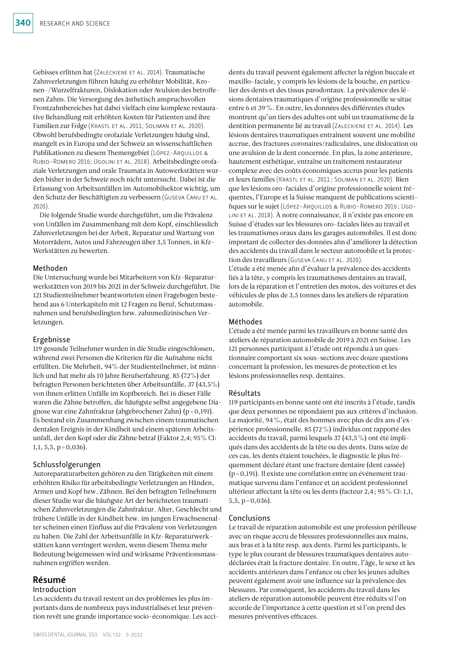Gebisses erlitten hat (Zaleckiene et al. 2014). Traumatische Zahnverletzungen führen häufig zu erhöhter Mobilität, Kronen-/Wurzelfrakturen, Dislokation oder Avulsion des betroffenen Zahns. Die Versorgung des ästhetisch anspruchsvollen Frontzahnbereiches hat dabei vielfach eine komplexe restaurative Behandlung mit erhöhten Kosten für Patienten und ihre Familien zur Folge (Krastl et al. 2011; Soliman et al. 2020). Obwohl berufsbedingte orofaziale Verletzungen häufig sind, mangelt es in Europa und der Schweiz an wissenschaftlichen Publikationen zu diesem Themengebiet (López-Arquillos & Rubio-Romero 2016; Ugolini et al. 2018). Arbeitsbedingte orofaziale Verletzungen und orale Traumata in Autowerkstätten wurden bisher in der Schweiz noch nicht untersucht. Dabei ist die Erfassung von Arbeitsunfällen im Automobilsektor wichtig, um den Schutz der Beschäftigten zu verbessern (Guseva Canu et al. 2020).

Die folgende Studie wurde durchgeführt, um die Prävalenz von Unfällen im Zusammenhang mit dem Kopf, einschliesslich Zahnverletzungen bei der Arbeit, Reparatur und Wartung von Motorrädern, Autos und Fahrzeugen über 3,5 Tonnen, in Kfz-Werkstätten zu bewerten.

#### Methoden

Die Untersuchung wurde bei Mitarbeitern von Kfz-Reparaturwerkstätten von 2019 bis 2021 in der Schweiz durchgeführt. Die 121 Studienteilnehmer beantworteten einen Fragebogen bestehend aus 6 Unterkapiteln mit 12 Fragen zu Beruf, Schutzmassnahmen und berufsbedingten bzw. zahnmedizinischen Verletzungen.

#### Ergebnisse

119 gesunde Teilnehmer wurden in die Studie eingeschlossen, während zwei Personen die Kriterien für die Aufnahme nicht erfüllten. Die Mehrheit, 94% der Studienteilnehmer, ist männlich und hat mehr als 10 Jahre Berufserfahrung. 85 (72%) der befragten Personen berichteten über Arbeitsunfälle, 37 (43,5%) von ihnen erlitten Unfälle im Kopfbereich. Bei 16 dieser Fälle waren die Zähne betroffen, die häufigste selbst angegebene Diagnose war eine Zahnfraktur (abgebrochener Zahn) (p=0,191). Es bestand ein Zusammenhang zwischen einem traumatischen dentalen Ereignis in der Kindheit und einem späteren Arbeitsunfall, der den Kopf oder die Zähne betraf (Faktor 2,4; 95% CI: 1,1, 5,5,  $p = 0,036$ .

#### Schlussfolgerungen

Autoreparaturarbeiten gehören zu den Tätigkeiten mit einem erhöhten Risiko für arbeitsbedingte Verletzungen an Händen, Armen und Kopf bzw. Zähnen. Bei den befragten Teilnehmern dieser Studie war die häufigste Art der berichteten traumatischen Zahnverletzungen die Zahnfraktur. Alter, Geschlecht und frühere Unfälle in der Kindheit bzw. im jungen Erwachsenenalter scheinen einen Einfluss auf die Prävalenz von Verletzungen zu haben. Die Zahl der Arbeitsunfälle in Kfz-Reparaturwerkstätten kann verringert werden, wenn diesem Thema mehr Bedeutung beigemessen wird und wirksame Präventionsmassnahmen ergriffen werden.

## Résumé

#### Introduction

Les accidents du travail restent un des problèmes les plus importants dans de nombreux pays industrialisés et leur prévention revêt une grande importance socio-économique. Les acci-

SWISS DENTAL JOURNAL SSO VOL 132 5 · 2022

dents du travail peuvent également affecter la région buccale et maxillo-faciale, y compris les lésions de la bouche, en particulier des dents et des tissus parodontaux. La prévalence des lésions dentaires traumatiques d'origine professionnelle se situe entre 6 et 39%. En outre, les données des différentes études montrent qu'un tiers des adultes ont subi un traumatisme de la dentition permanente lié au travail (ZALECKIENE ET AL. 2014). Les lésions dentaires traumatiques entraînent souvent une mobilité accrue, des fractures coronaires/radiculaires, une dislocation ou une avulsion de la dent concernée. En plus, la zone antérieure, hautement esthétique, entraîne un traitement restaurateur complexe avec des coûts économiques accrus pour les patients et leurs familles (Krastl et al. 2011 ; Soliman et al. 2020). Bien que les lésions oro-faciales d'origine professionnelle soient fréquentes, l'Europe et la Suisse manquent de publications scientifiques sur le sujet (López-Arquillos & Rubio-Romero 2016 ; Ugolini et al. 2018). À notre connaissance, il n'existe pas encore en Suisse d'études sur les blessures oro-faciales liées au travail et les traumatismes oraux dans les garages automobiles. Il est donc important de collecter des données afin d'améliorer la détection des accidents du travail dans le secteur automobile et la protection des travailleurs (GUSEVA CANU ET AL. 2020).

L'étude a été menée afin d'évaluer la prévalence des accidents liés à la tête, y compris les traumatismes dentaires au travail, lors de la réparation et l'entretien des motos, des voitures et des véhicules de plus de 3,5 tonnes dans les ateliers de réparation automobile.

#### Méthodes

L'étude a été menée parmi les travailleurs en bonne santé des ateliers de réparation automobile de 2019 à 2021 en Suisse. Les 121 personnes participant à l'étude ont répondu à un questionnaire comportant six sous-sections avec douze questions concernant la profession, les mesures de protection et les lésions professionnelles resp. dentaires.

#### Résultats

119 participants en bonne santé ont été inscrits à l'étude, tandis que deux personnes ne répondaient pas aux critères d'inclusion. La majorité, 94%, était des hommes avec plus de dix ans d'expérience professionnelle. 85 (72%) individus ont rapporté des accidents du travail, parmi lesquels 37 (43,5%) ont été impliqués dans des accidents de la tête ou des dents. Dans seize de ces cas, les dents étaient touchées, le diagnostic le plus fréquemment déclaré étant une fracture dentaire (dent cassée) (p=0,191). Il existe une corrélation entre un événement traumatique survenu dans l'enfance et un accident professionnel ultérieur affectant la tête ou les dents (facteur 2,4; 95% CI: 1,1,  $5,5, p=0,036$ .

#### Conclusions

Le travail de réparation automobile est une profession périlleuse avec un risque accru de blessures professionnelles aux mains, aux bras et à la tête resp. aux dents. Parmi les participants, le type le plus courant de blessures traumatiques dentaires autodéclarées était la fracture dentaire. En outre, l'âge, le sexe et les accidents antérieurs dans l'enfance ou chez les jeunes adultes peuvent également avoir une influence sur la prévalence des blessures. Par conséquent, les accidents du travail dans les ateliers de réparation automobile peuvent être réduits si l'on accorde de l'importance à cette question et si l'on prend des mesures préventives efficaces.